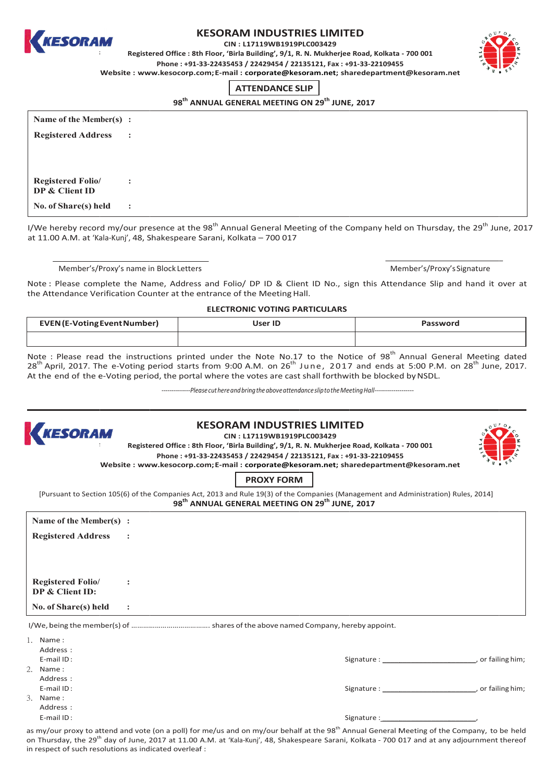

## **KESORAM INDUSTRIES LIMITED**

CIN: L17119WB1919PLC003429

Registered Office : 8th Floor, 'Birla Building', 9/1, R. N. Mukherjee Road, Kolkata - 700 001 Phone: +91-33-22435453 / 22429454 / 22135121, Fax: +91-33-22109455

Website: www.kesocorp.com; E-mail: corporate@kesoram.net; sharedepartment@kesoram.net

# **ATTENDANCE SLIP**

98<sup>th</sup> ANNUAL GENERAL MEETING ON 29<sup>th</sup> JUNE, 2017

| Name of the Member(s) :                    |                |
|--------------------------------------------|----------------|
| <b>Registered Address</b>                  | $\sim$ :       |
|                                            |                |
|                                            |                |
| <b>Registered Folio/</b><br>DP & Client ID | $\ddot{\cdot}$ |
| No. of Share(s) held                       | $\sim$ 1.      |

I/We hereby record my/our presence at the 98<sup>th</sup> Annual General Meeting of the Company held on Thursday, the 29<sup>th</sup> June, 2017 at 11.00 A.M. at 'Kala-Kunj', 48, Shakespeare Sarani, Kolkata - 700 017

Member's/Proxy's name in Block Letters

Member's/Proxy's Signature

Note: Please complete the Name, Address and Folio/ DP ID & Client ID No., sign this Attendance Slip and hand it over at the Attendance Verification Counter at the entrance of the Meeting Hall.

**ELECTRONIC VOTING PARTICULARS** 

| <b>EVEN</b> (E-Voting Event Number) | User ID | Password |
|-------------------------------------|---------|----------|
|                                     |         |          |

Note : Please read the instructions printed under the Note No.17 to the Notice of 98<sup>th</sup> Annual General Meeting dated 28<sup>th</sup> April, 2017. The e-Voting period starts from 9:00 A.M. on 26<sup>th</sup> June, 2017 and ends at 5:00 P.M. on 28<sup>th</sup> June, 2017. At the end of the e-Voting period, the portal where the votes are cast shall forthwith be blocked by NSDL.

---------------Please cut here and bring the above attendance slip to the Meeting Hall-------



#### **KESORAM INDUSTRIES LIMITED** CIN: L17119WB1919PLC003429

Registered Office: 8th Floor, 'Birla Building', 9/1, R. N. Mukherjee Road, Kolkata - 700 001 Phone: +91-33-22435453 / 22429454 / 22135121. Fax: +91-33-22109455 Website: www.kesocorp.com; E-mail: corporate@kesoram.net; sharedepartment@kesoram.net



**PROXY FORM** 

[Pursuant to Section 105(6) of the Companies Act, 2013 and Rule 19(3) of the Companies (Management and Administration) Rules, 2014] 98<sup>th</sup> ANNUAL GENERAL MEETING ON 29<sup>th</sup> JUNE, 2017

| Name of the Member(s) :                    |                |                                                                                                                |                     |
|--------------------------------------------|----------------|----------------------------------------------------------------------------------------------------------------|---------------------|
| <b>Registered Address</b>                  | $\sim$ :       |                                                                                                                |                     |
|                                            |                |                                                                                                                |                     |
|                                            |                |                                                                                                                |                     |
|                                            |                |                                                                                                                |                     |
| <b>Registered Folio</b><br>DP & Client ID: | $\ddot{\cdot}$ |                                                                                                                |                     |
|                                            |                |                                                                                                                |                     |
| No. of Share(s) held                       | $\ddot{\cdot}$ |                                                                                                                |                     |
|                                            |                |                                                                                                                |                     |
| 1. Name:                                   |                |                                                                                                                |                     |
| Address:                                   |                |                                                                                                                |                     |
| E-mail ID:                                 |                | Signature : and the state of the state of the state of the state of the state of the state of the state of the | , or failing him;   |
| 2.<br>Name:                                |                |                                                                                                                |                     |
| Address:                                   |                |                                                                                                                |                     |
| E-mail ID:                                 |                | Signature:                                                                                                     | __, or failing him; |

3 Name: Address:

F-mail ID:

Signature:

as my/our proxy to attend and vote (on a poll) for me/us and on my/our behalf at the 98<sup>th</sup> Annual General Meeting of the Company, to be held on Thursday, the 29<sup>th</sup> day of June, 2017 at 11.00 A.M. at 'Kala-Kunj', 48, Shakespeare Sarani, Kolkata - 700 017 and at any adjournment thereof in respect of such resolutions as indicated overleaf: